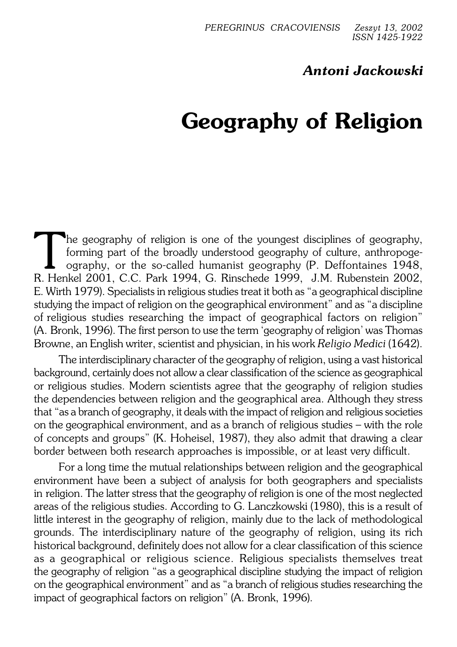# *Antoni Jackowski*

# **Geography of Religion**

The geography of religion is one of the youngest disciplines of geography, forming part of the broadly understood geography of culture, anthropoge-<br>ography, or the so-called humanist geography (P. Deffontaines 1948,<br>R. Hen he geography of religion is one of the youngest disciplines of geography, forming part of the broadly understood geography of culture, anthropoge− ography, or the so−called humanist geography (P. Deffontaines 1948, E. Wirth 1979). Specialists in religious studies treat it both as "a geographical discipline studying the impact of religion on the geographical environment" and as "a discipline ofreligious studies researching the impact of geographical factors on religion" (A.Bronk, 1996). The first person to use the term 'geography of religion' was Thomas Browne, an English writer, scientist and physician, in his work *Religio Medici* (1642).

The interdisciplinary character of the geography of religion, using a vast historical background, certainly does not allow a clear classification of the science as geographical or religious studies. Modern scientists agree that the geography of religion studies the dependencies between religion and the geographical area. Although they stress that "as a branch of geography, it deals with the impact of religion and religious societies on the geographical environment, and as a branch of religious studies – with the role of concepts and groups" (K. Hoheisel, 1987), they also admit that drawing a clear border between both research approaches is impossible, or at least very difficult.

For a long time the mutual relationships between religion and the geographical environment have been a subject of analysis for both geographers and specialists in religion. The latter stress that the geography of religion is one of the most neglected areas of the religious studies. According to G. Lanczkowski (1980), this is a result of little interest in the geography of religion, mainly due to the lack of methodological grounds. The interdisciplinary nature of the geography of religion, using its rich historical background, definitely does not allow for a clear classification of this science as a geographical or religious science. Religious specialists themselves treat thegeography of religion "as a geographical discipline studying the impact of religion on thegeographical environment" and as "a branch of religious studies researching the impact of geographical factors on religion" (A. Bronk, 1996).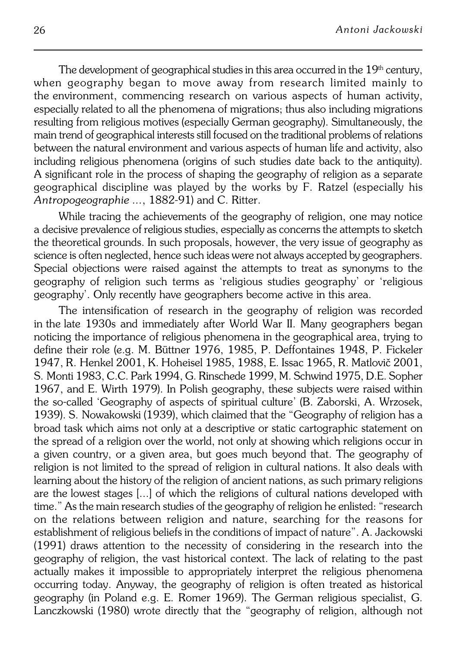The development of geographical studies in this area occurred in the  $19<sup>th</sup>$  century, when geography began to move away from research limited mainly to the environment, commencing research on various aspects of human activity, especially related to all the phenomena of migrations; thus also including migrations resulting from religious motives (especially German geography). Simultaneously, the main trend of geographical interests still focused on the traditional problems of relations between the natural environment and various aspects of human life and activity, also including religious phenomena (origins of such studies date back to the antiquity). Asignificant role in the process of shaping the geography of religion as a separate geographical discipline was played by the works by F. Ratzel (especially his *Antropogeographie ...*, 1882−91) and C. Ritter.

While tracing the achievements of the geography of religion, one may notice a decisive prevalence of religious studies, especially as concerns the attempts to sketch the theoretical grounds. In such proposals, however, the very issue of geography as science is often neglected, hence such ideas were not always accepted by geographers. Special objections were raised against the attempts to treat as synonyms to the geography of religion such terms as 'religious studies geography' or 'religious geography'. Only recently have geographers become active in this area.

The intensification of research in the geography of religion was recorded in the late 1930s and immediately after World War II. Many geographers began noticing the importance of religious phenomena in the geographical area, trying to define their role (e.g. M. Büttner 1976, 1985, P. Deffontaines 1948, P. Fickeler 1947, R.Henkel 2001, K. Hoheisel 1985, 1988, E. Issac 1965, R. Matlovič 2001, S.Monti 1983, C.C. Park 1994, G. Rinschede 1999, M. Schwind 1975, D.E. Sopher 1967, and E. Wirth 1979). In Polish geography, these subjects were raised within the so−called 'Geography of aspects of spiritual culture' (B. Zaborski, A. Wrzosek, 1939). S.Nowakowski (1939), which claimed that the "Geography of religion has a broad task which aims not only at a descriptive or static cartographic statement on the spread of a religion over the world, not only at showing which religions occur in a given country, or a given area, but goes much beyond that. The geography of religion is not limited to the spread of religion in cultural nations. It also deals with learning about the history of the religion of ancient nations, as such primary religions are the lowest stages [...] of which the religions of cultural nations developed with time." As the main research studies of the geography of religion he enlisted: "research on the relations between religion and nature, searching for the reasons for establishment of religious beliefs in the conditions of impact of nature". A. Jackowski (1991) draws attention to the necessity of considering in the research into the geography of religion, the vast historical context. The lack of relating to the past actually makes it impossible to appropriately interpret the religious phenomena occurring today. Anyway, the geography of religion is often treated as historical geography (in Poland e.g. E. Romer 1969). The German religious specialist, G. Lanczkowski (1980) wrote directly that the "geography of religion, although not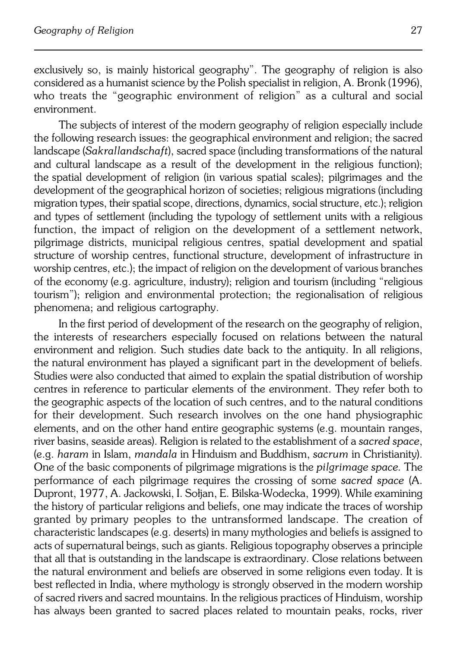exclusively so, is mainly historical geography". The geography of religion is also considered as a humanist science by the Polish specialist in religion, A. Bronk (1996), who treats the "geographic environment of religion" as a cultural and social environment.

The subjects of interest of the modern geography of religion especially include the following research issues: the geographical environment and religion; the sacred landscape (*Sakrallandschaft*), sacred space (including transformations of the natural and cultural landscape as a result of the development in the religious function); the spatial development of religion (in various spatial scales); pilgrimages and the development of the geographical horizon of societies; religious migrations (including migration types, their spatial scope, directions, dynamics, social structure, etc.); religion and types of settlement (including the typology of settlement units with a religious function, the impact of religion on the development of a settlement network, pilgrimage districts, municipal religious centres, spatial development and spatial structure of worship centres, functional structure, development of infrastructure in worship centres, etc.); the impact of religion on the development of various branches of the economy (e.g. agriculture, industry); religion and tourism (including "religious tourism"); religion and environmental protection; the regionalisation of religious phenomena; and religious cartography.

In the first period of development of the research on the geography of religion, the interests of researchers especially focused on relations between the natural environment and religion. Such studies date back to the antiquity. In all religions, the natural environment has played a significant part in the development of beliefs. Studies were also conducted that aimed to explain the spatial distribution of worship centres in reference to particular elements of the environment. They refer both to the geographic aspects of the location of such centres, and to the natural conditions for their development. Such research involves on the one hand physiographic elements, and on the other hand entire geographic systems (e.g. mountain ranges, river basins, seaside areas). Religion is related to the establishment of a *sacred space*, (e.g. *haram* inIslam, *mandala* in Hinduism and Buddhism, *sacrum* in Christianity). One of thebasic components of pilgrimage migrations is the *pilgrimage space.* The performance of each pilgrimage requires the crossing of some *sacred space* (A. Dupront, 1977, A. Jackowski, I. Sołjan, E. Bilska−Wodecka, 1999). While examining the history of particular religions and beliefs, one may indicate the traces of worship granted byprimary peoples to the untransformed landscape. The creation of characteristic landscapes (e.g. deserts) in many mythologies and beliefs is assigned to acts of supernatural beings, such as giants. Religious topography observes a principle that all that is outstanding in the landscape is extraordinary. Close relations between the natural environment and beliefs are observed in some religions even today. It is best reflected in India, where mythology is strongly observed in the modern worship of sacred rivers and sacred mountains. In the religious practices of Hinduism, worship has always been granted to sacred places related to mountain peaks, rocks, river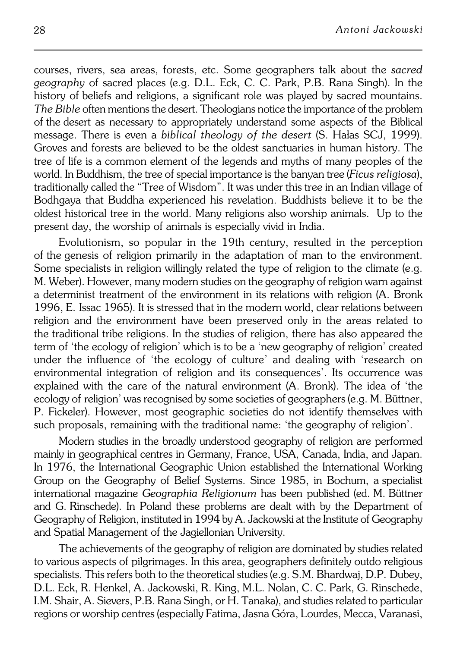courses, rivers, sea areas, forests, etc. Some geographers talk about the *sacred geography* of sacred places (e.g. D.L. Eck, C. C. Park, P.B. Rana Singh). In the history of beliefs and religions, a significant role was played by sacred mountains. *The Bible* often mentions the desert. Theologians notice the importance of the problem of the desert as necessary to appropriately understand some aspects of the Biblical message. There is even a *biblical theology of the desert* (S. Hałas SCJ, 1999). Groves and forests are believed to be the oldest sanctuaries in human history. The tree of life is a common element of the legends and myths of many peoples of the world. In Buddhism, the tree of special importance is the banyan tree (*Ficus religiosa*), traditionally called the "Tree of Wisdom". It was under this tree in an Indian village of Bodhgaya that Buddha experienced his revelation. Buddhists believe it to be the oldest historical tree in the world. Many religions also worship animals. Up to the present day, the worship of animals is especially vivid in India.

Evolutionism, so popular in the 19th century, resulted in the perception of the genesis of religion primarily in the adaptation of man to the environment. Some specialists in religion willingly related the type of religion to the climate (e.g. M. Weber). However, many modern studies on the geography of religion warn against a determinist treatment of the environment in its relations with religion (A. Bronk 1996, E.Issac 1965). It is stressed that in the modern world, clear relations between religion and the environment have been preserved only in the areas related to the traditional tribe religions. In the studies of religion, there has also appeared the term of'the ecology of religion' which is to be a 'new geography of religion' created under the influence of 'the ecology of culture' and dealing with 'research on environmental integration of religion and its consequences'. Its occurrence was explained with the care of the natural environment (A. Bronk). The idea of 'the ecology of religion' was recognised by some societies of geographers (e.g. M. Büttner, P. Fickeler). However, most geographic societies do not identify themselves with such proposals, remaining with the traditional name: 'the geography of religion'.

Modern studies in the broadly understood geography of religion are performed mainly in geographical centres in Germany, France, USA, Canada, India, and Japan. In 1976, the International Geographic Union established the International Working Group on the Geography of Belief Systems. Since 1985, in Bochum, aspecialist international magazine *Geographia Religionum* has been published (ed.M.Büttner and G.Rinschede). In Poland these problems are dealt with by the Department of Geography of Religion, instituted in 1994 by A. Jackowski at the Institute of Geography and Spatial Management of the Jagiellonian University.

The achievements of the geography of religion are dominated by studies related to various aspects of pilgrimages. In this area, geographers definitely outdo religious specialists. This refers both to the theoretical studies (e.g. S.M. Bhardwaj, D.P. Dubey, D.L. Eck, R. Henkel, A. Jackowski, R. King, M.L. Nolan, C. C. Park, G. Rinschede, I.M. Shair, A. Sievers, P.B. Rana Singh, or H. Tanaka), and studies related to particular regions or worship centres (especially Fatima, Jasna Góra, Lourdes, Mecca, Varanasi,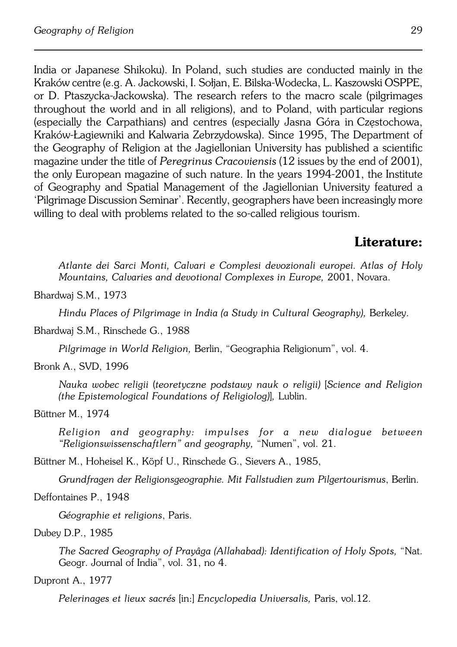India or Japanese Shikoku). In Poland, such studies are conducted mainly in the Kraków centre (e.g. A. Jackowski, I. Sołjan, E. Bilska−Wodecka, L. Kaszowski OSPPE, or D. Ptaszycka−Jackowska). The research refers to the macro scale (pilgrimages throughout the world and in all religions), and to Poland, with particular regions (especially the Carpathians) and centres (especially Jasna Góra inCzęstochowa, Kraków−Łagiewniki and Kalwaria Zebrzydowska). Since 1995, The Department of the Geography of Religion at the Jagiellonian University has published a scientific magazine under the title of *Peregrinus Cracoviensis* (12 issues by the end of 2001), the only European magazine of such nature. In the years 1994-2001, the Institute of Geography and Spatial Management of the Jagiellonian University featured a 'Pilgrimage Discussion Seminar'. Recently, geographers have been increasingly more willing to deal with problems related to the so−called religious tourism.

# **Literature:**

*Atlante dei Sarci Monti, Calvari e Complesi devozionali europei. Atlas of Holy Mountains, Calvaries and devotional Complexes in Europe,* 2001, Novara.

Bhardwaj S.M., 1973

*Hindu Places of Pilgrimage in India (a Study in Cultural Geography),* Berkeley.

Bhardwaj S.M., Rinschede G., 1988

*Pilgrimage in World Religion,* Berlin, "Geographia Religionum", vol. 4.

Bronk A., SVD, 1996

*Nauka wobec religii* (*teoretyczne podstawy nauk o religii)* [*Science and Religion (theEpistemological Foundations of Religiolog)*]*,* Lublin.

# Büttner M., 1974

*Religion and geography: impulses for a new dialogue between "Religionswissenschaftlern" and geography,* "Numen", vol. 21.

Büttner M., Hoheisel K., Köpf U., Rinschede G., Sievers A., 1985,

*Grundfragen der Religionsgeographie. Mit Fallstudien zum Pilgertourismus*, Berlin.

Deffontaines P., 1948

*Géographie et religions*, Paris.

Dubey D.P., 1985

*The Sacred Geography of Prayâga (Allahabad): Identification of Holy Spots,* "Nat. Geogr. Journal of India", vol. 31, no 4.

# Dupront A., 1977

*Pelerinages et lieux sacrés* [in:] *Encyclopedia Universalis,* Paris, vol.12.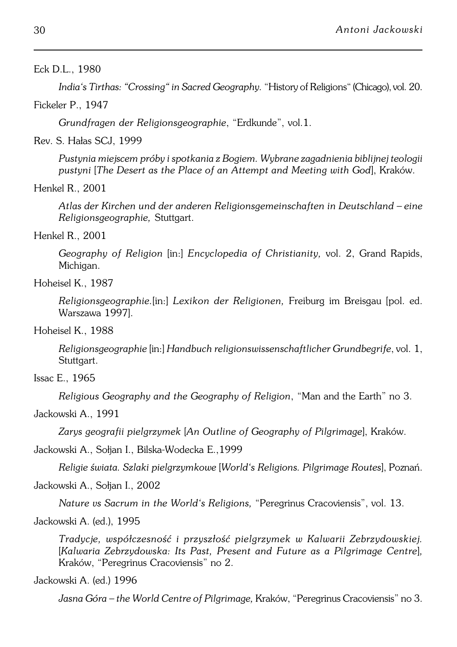## Eck D.L., 1980

*India's Tirthas: "Crossing" in Sacred Geography.* "History of Religions" (Chicago), vol.20.

#### Fickeler P., 1947

*Grundfragen der Religionsgeographie*, "Erdkunde", vol.1.

Rev. S. Hałas SCJ, 1999

*Pustynia miejscem próby i spotkania z Bogiem. Wybrane zagadnienia biblijnej teologii pustyni* [*The Desert as the Place of an Attempt and Meeting with God*], Kraków.

## Henkel R., 2001

*Atlas der Kirchen und der anderen Religionsgemeinschaften in Deutschland – eine Religionsgeographie,* Stuttgart.

## Henkel R., 2001

*Geography of Religion* [in:] *Encyclopedia of Christianity,* vol. 2, Grand Rapids, Michigan.

# Hoheisel K., 1987

*Religionsgeographie.*[in:] *Lexikon der Religionen,* Freiburg im Breisgau [pol. ed. Warszawa 1997].

# Hoheisel K., 1988

*Religionsgeographie* [in:] *Handbuch religionswissenschaftlicher Grundbegrife*, vol.1, Stuttgart.

Issac E., 1965

*Religious Geography and the Geography of Religion*, "Man and the Earth" no 3.

# Jackowski A., 1991

*Zarys geografii pielgrzymek* [*An Outline of Geography of Pilgrimage*], Kraków.

#### Jackowski A., Sołjan I., Bilska−Wodecka E.,1999

*Religie świata. Szlaki pielgrzymkowe* [*World's Religions. Pilgrimage Routes*], Poznań.

# Jackowski A., Sołjan I., 2002

*Nature vs Sacrum in the World's Religions,* "Peregrinus Cracoviensis", vol. 13.

Jackowski A. (ed.), 1995

*Tradycje, współczesność i przyszłość pielgrzymek w Kalwarii Zebrzydowskiej.* [*Kalwaria Zebrzydowska: Its Past, Present and Future as a Pilgrimage Centre*]*,* Kraków, "Peregrinus Cracoviensis" no 2.

Jackowski A. (ed.) 1996

*Jasna Góra – the World Centre of Pilgrimage,* Kraków, "Peregrinus Cracoviensis" no 3.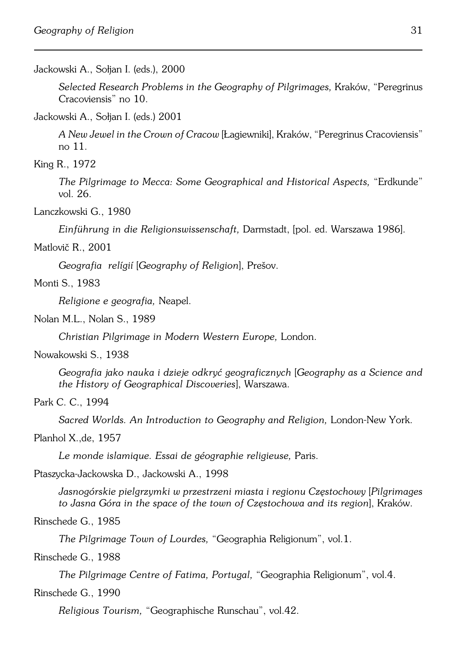#### Jackowski A., Sołjan I. (eds.), 2000

*Selected Research Problems in the Geography of Pilgrimages,* Kraków, "Peregrinus Cracoviensis" no 10.

Jackowski A., Sołjan I. (eds.) 2001

*A New Jewel in the Crown of Cracow* [Łagiewniki], Kraków, "Peregrinus Cracoviensis" no 11.

King R., 1972

*The Pilgrimage to Mecca: Some Geographical and Historical Aspects,* "Erdkunde" vol. 26.

Lanczkowski G., 1980

*Einführung in die Religionswissenschaft,* Darmstadt, [pol. ed. Warszawa 1986].

Matlovič R., 2001

*Geografia relígií* [*Geography of Religion*], Prešov.

Monti S., 1983

*Religione e geografia,* Neapel.

Nolan M.L., Nolan S., 1989

*Christian Pilgrimage in Modern Western Europe,* London.

Nowakowski S., 1938

*Geografia jako nauka i dzieje odkryć geograficznych* [*Geography as a Science and the History of Geographical Discoveries*], Warszawa.

Park C. C., 1994

*Sacred Worlds. An Introduction to Geography and Religion,* London−New York.

## Planhol X.,de, 1957

*Le monde islamique. Essai de géographie religieuse,* Paris.

Ptaszycka−Jackowska D., Jackowski A., 1998

*Jasnogórskie pielgrzymki w przestrzeni miasta i regionu Częstochowy* [*Pilgrimages to Jasna Góra in the space of the town of Częstochowa and its region*], Kraków.

Rinschede G., 1985

*The Pilgrimage Town of Lourdes,* "Geographia Religionum", vol.1.

# Rinschede G., 1988

*The Pilgrimage Centre of Fatima, Portugal,* "Geographia Religionum", vol.4.

#### Rinschede G., 1990

*Religious Tourism,* "Geographische Runschau", vol.42.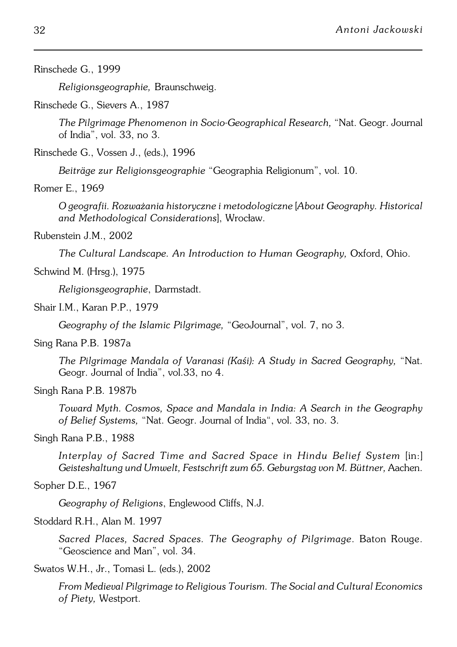Rinschede G., 1999

*Religionsgeographie,* Braunschweig.

Rinschede G., Sievers A., 1987

*The Pilgrimage Phenomenon in Socio−Geographical Research,* "Nat. Geogr. Journal of India", vol. 33, no 3.

Rinschede G., Vossen J., (eds.), 1996

*Beiträge zur Religionsgeographie* "Geographia Religionum", vol. 10.

Romer E., 1969

*O geografii. Rozważania historyczne i metodologiczne* [*About Geography. Historical and Methodological Considerations*], Wrocław.

Rubenstein J.M., 2002

*The Cultural Landscape. An Introduction to Human Geography,* Oxford, Ohio.

Schwind M. (Hrsg.), 1975

*Religionsgeographie*, Darmstadt.

Shair I.M., Karan P.P., 1979

*Geography of the Islamic Pilgrimage,* "GeoJournal", vol. 7, no 3.

Sing Rana P.B. 1987a

*The Pilgrimage Mandala of Varanasi (Kaśi): A Study in Sacred Geography,* "Nat. Geogr. Journal of India", vol.33, no 4.

Singh Rana P.B. 1987b

*Toward Myth. Cosmos, Space and Mandala in India: A Search in the Geography ofBelief Systems,* "Nat. Geogr. Journal of India", vol. 33, no. 3.

Singh Rana P.B., 1988

Interplay of Sacred Time and Sacred Space in Hindu Belief System [in:] *Geisteshaltung und Umwelt, Festschrift zum 65. Geburgstag von M. Büttner,* Aachen.

Sopher D.E., 1967

*Geography of Religions*, Englewood Cliffs, N.J.

Stoddard R.H., Alan M. 1997

*Sacred Places, Sacred Spaces. The Geography of Pilgrimage*. Baton Rouge. "Geoscience and Man", vol. 34.

Swatos W.H., Jr., Tomasi L. (eds.), 2002

*From Medieval Pilgrimage to Religious Tourism. The Social and Cultural Economics of Piety,* Westport.